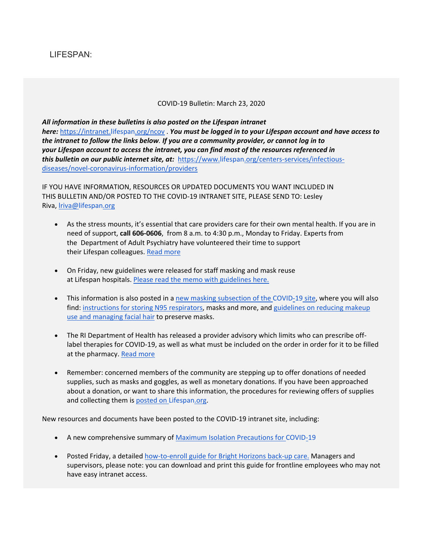## LIFESPAN:

## COVID-19 Bulletin: March 23, 2020

*All information in these bulletins is also posted on the Lifespan intranet here:* <https://intranet.lifespan.org/ncov> . *You must be logged in to your Lifespan account and have access to the intranet to follow the links below. If you are a community provider, or cannot log in to your Lifespan account to access the intranet, you can find most of the resources referenced in this bulletin on our public internet site, at:* [https://www.lifespan.org/centers-services/infectious](https://www.lifespan.org/centers-services/infectious-diseases/novel-coronavirus-information/providers)[diseases/novel-coronavirus-information/providers](https://www.lifespan.org/centers-services/infectious-diseases/novel-coronavirus-information/providers)

IF YOU HAVE INFORMATION, RESOURCES OR UPDATED DOCUMENTS YOU WANT INCLUDED IN THIS BULLETIN AND/OR POSTED TO THE COVID-19 INTRANET SITE, PLEASE SEND TO: Lesley Riva, [lriva@lifespan.org](mailto:lriva@lifespan.org)

- As the stress mounts, it's essential that care providers care for their own mental health. If you are in need of support, **call 606-0606**, from 8 a.m. to 4:30 p.m., Monday to Friday. Experts from the Department of Adult Psychiatry have volunteered their time to support their Lifespan colleagues. [Read more](https://intranet.lifespan.org/sites/default/files/MentalHealthServices_0.pdf)
- On Friday, new guidelines were released for staff masking and mask reuse at Lifespan hospitals. [Please read the memo with guidelines here.](https://www.lifespan.org/sites/default/files/lifespan-files/documents/centers/infectious-diseases/mask-memo-3-20-2020-FINAL.pdf)
- This information is also posted in a [new masking subsection of the](https://intranet.lifespan.org/department-sites/infection-control-lifespan/coronavirus-covid-19-provider-resources) COVID-19 site, where you will also find: [instructions for storing N95 respirators,](https://www.lifespan.org/sites/default/files/lifespan-files/documents/centers/infectious-diseases/Storage-for-masks-respirators-goggles.pdf) masks and more, and guidelines on reducing makeup [use and managing facial hair](https://www.lifespan.org/sites/default/files/lifespan-files/documents/centers/infectious-diseases/beards-makeup.pdf) to preserve masks.
- The RI Department of Health has released a provider advisory which limits who can prescribe offlabel therapies for COVID-19, as well as what must be included on the order in order for it to be filled at the pharmacy. [Read more](https://mailchi.mp/191f400b6fee/provider-advisory-emergency-regulation-for-off-label-prescribing-of-medication-for-covid-19?e=1cd9016c2d)
- Remember: concerned members of the community are stepping up to offer donations of needed supplies, such as masks and goggles, as well as monetary donations. If you have been approached about a donation, or want to share this information, the procedures for reviewing offers of supplies and collecting them is posted on [Lifespan.org.](https://www.lifespan.org/covid-donations)

New resources and documents have been posted to the COVID-19 intranet site, including:

- A new comprehensive summary of [Maximum Isolation Precautions for](https://www.lifespan.org/sites/default/files/lifespan-files/documents/centers/infectious-diseases/maximum-isolation-table_032120.pdf) COVID-19
- Posted Friday, a detailed [how-to-enroll guide for Bright Horizons back-up care.](https://intranet.lifespan.org/sites/default/files/Bright-Horizons-Log-In-How-%20To.pdf) Managers and supervisors, please note: you can download and print this guide for frontline employees who may not have easy intranet access.